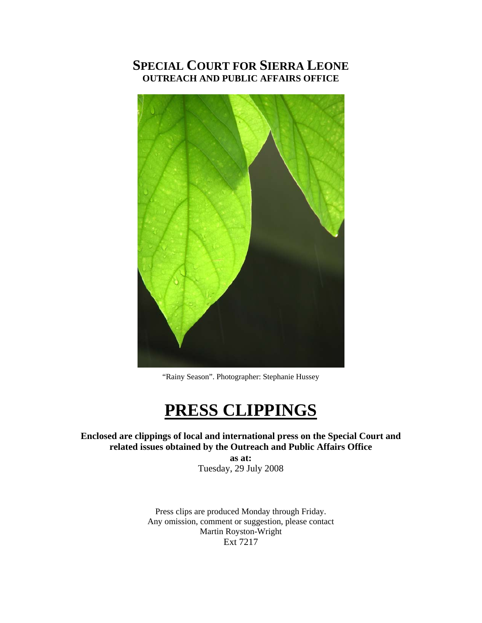# **SPECIAL COURT FOR SIERRA LEONE OUTREACH AND PUBLIC AFFAIRS OFFICE**



"Rainy Season". Photographer: Stephanie Hussey

# **PRESS CLIPPINGS**

**Enclosed are clippings of local and international press on the Special Court and related issues obtained by the Outreach and Public Affairs Office** 

**as at:**  Tuesday, 29 July 2008

Press clips are produced Monday through Friday. Any omission, comment or suggestion, please contact Martin Royston-Wright Ext 7217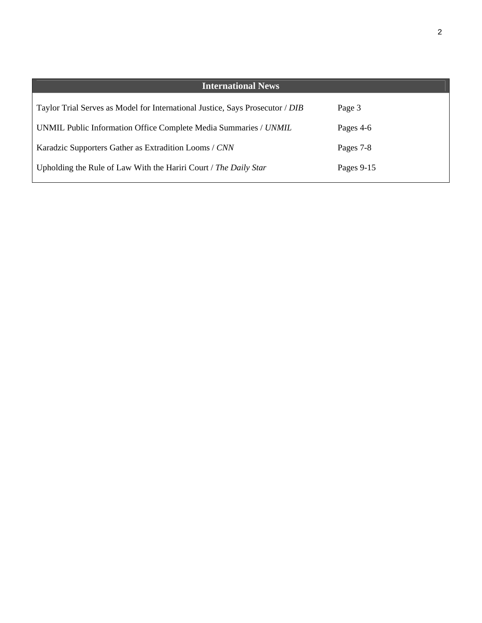| <b>International News</b>                                                     |            |
|-------------------------------------------------------------------------------|------------|
| Taylor Trial Serves as Model for International Justice, Says Prosecutor / DIB | Page 3     |
| UNMIL Public Information Office Complete Media Summaries / UNMIL              | Pages 4-6  |
| Karadzic Supporters Gather as Extradition Looms / CNN                         | Pages 7-8  |
| Upholding the Rule of Law With the Hariri Court / The Daily Star              | Pages 9-15 |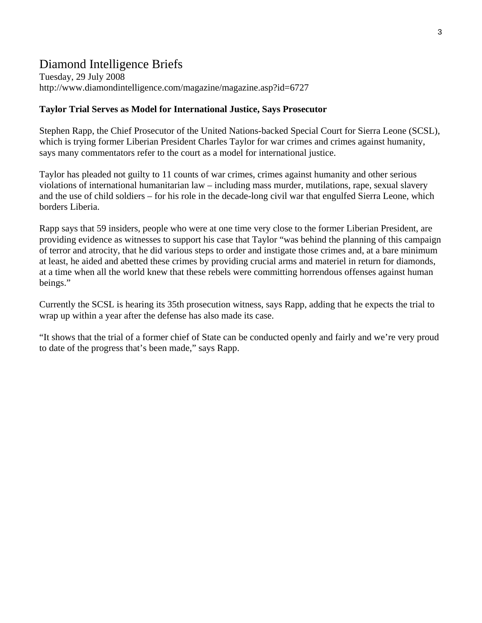# Diamond Intelligence Briefs

Tuesday, 29 July 2008 http://www.diamondintelligence.com/magazine/magazine.asp?id=6727

#### **Taylor Trial Serves as Model for International Justice, Says Prosecutor**

Stephen Rapp, the Chief Prosecutor of the United Nations-backed Special Court for Sierra Leone (SCSL), which is trying former Liberian President Charles Taylor for war crimes and crimes against humanity, says many commentators refer to the court as a model for international justice.

Taylor has pleaded not guilty to 11 counts of war crimes, crimes against humanity and other serious violations of international humanitarian law – including mass murder, mutilations, rape, sexual slavery and the use of child soldiers – for his role in the decade-long civil war that engulfed Sierra Leone, which borders Liberia.

Rapp says that 59 insiders, people who were at one time very close to the former Liberian President, are providing evidence as witnesses to support his case that Taylor "was behind the planning of this campaign of terror and atrocity, that he did various steps to order and instigate those crimes and, at a bare minimum at least, he aided and abetted these crimes by providing crucial arms and materiel in return for diamonds, at a time when all the world knew that these rebels were committing horrendous offenses against human beings."

Currently the SCSL is hearing its 35th prosecution witness, says Rapp, adding that he expects the trial to wrap up within a year after the defense has also made its case.

"It shows that the trial of a former chief of State can be conducted openly and fairly and we're very proud to date of the progress that's been made," says Rapp.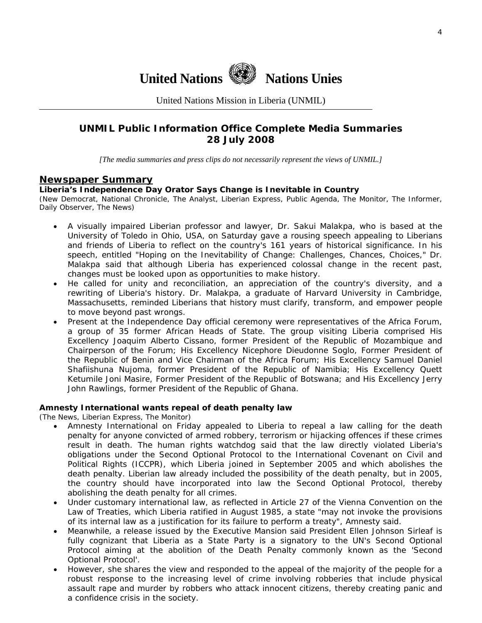

United Nations Mission in Liberia (UNMIL)

## **UNMIL Public Information Office Complete Media Summaries 28 July 2008**

*[The media summaries and press clips do not necessarily represent the views of UNMIL.]* 

#### **Newspaper Summary**

#### **Liberia's Independence Day Orator Says Change is Inevitable in Country**

(New Democrat, National Chronicle, The Analyst, Liberian Express, Public Agenda, The Monitor, The Informer, Daily Observer, The News)

- A visually impaired Liberian professor and lawyer, Dr. Sakui Malakpa, who is based at the University of Toledo in Ohio, USA, on Saturday gave a rousing speech appealing to Liberians and friends of Liberia to reflect on the country's 161 years of historical significance. In his speech, entitled "Hoping on the Inevitability of Change: Challenges, Chances, Choices," Dr. Malakpa said that although Liberia has experienced colossal change in the recent past, changes must be looked upon as opportunities to make history.
- He called for unity and reconciliation, an appreciation of the country's diversity, and a rewriting of Liberia's history. Dr. Malakpa, a graduate of Harvard University in Cambridge, Massachusetts, reminded Liberians that history must clarify, transform, and empower people to move beyond past wrongs.
- Present at the Independence Day official ceremony were representatives of the Africa Forum, a group of 35 former African Heads of State. The group visiting Liberia comprised His Excellency Joaquim Alberto Cissano, former President of the Republic of Mozambique and Chairperson of the Forum; His Excellency Nicephore Dieudonne Soglo, Former President of the Republic of Benin and Vice Chairman of the Africa Forum; His Excellency Samuel Daniel Shafiishuna Nujoma, former President of the Republic of Namibia; His Excellency Quett Ketumile Joni Masire, Former President of the Republic of Botswana; and His Excellency Jerry John Rawlings, former President of the Republic of Ghana.

#### **Amnesty International wants repeal of death penalty law**

(The News, Liberian Express, The Monitor)

- Amnesty International on Friday appealed to Liberia to repeal a law calling for the death penalty for anyone convicted of armed robbery, terrorism or hijacking offences if these crimes result in death. The human rights watchdog said that the law directly violated Liberia's obligations under the Second Optional Protocol to the International Covenant on Civil and Political Rights (ICCPR), which Liberia joined in September 2005 and which abolishes the death penalty. Liberian law already included the possibility of the death penalty, but in 2005, the country should have incorporated into law the Second Optional Protocol, thereby abolishing the death penalty for all crimes.
- Under customary international law, as reflected in Article 27 of the Vienna Convention on the Law of Treaties, which Liberia ratified in August 1985, a state "may not invoke the provisions of its internal law as a justification for its failure to perform a treaty", Amnesty said.
- Meanwhile, a release issued by the Executive Mansion said President Ellen Johnson Sirleaf is fully cognizant that Liberia as a State Party is a signatory to the UN's Second Optional Protocol aiming at the abolition of the Death Penalty commonly known as the 'Second Optional Protocol'.
- However, she shares the view and responded to the appeal of the majority of the people for a robust response to the increasing level of crime involving robberies that include physical assault rape and murder by robbers who attack innocent citizens, thereby creating panic and a confidence crisis in the society.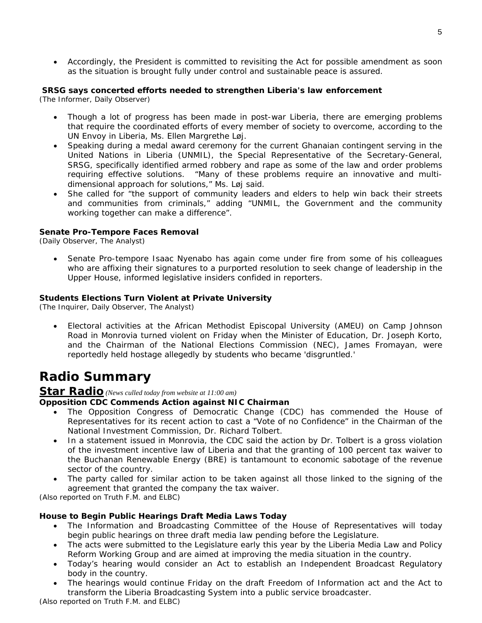• Accordingly, the President is committed to revisiting the Act for possible amendment as soon as the situation is brought fully under control and sustainable peace is assured.

#### **SRSG says concerted efforts needed to strengthen Liberia's law enforcement**

(The Informer, Daily Observer)

- Though a lot of progress has been made in post-war Liberia, there are emerging problems that require the coordinated efforts of every member of society to overcome, according to the UN Envoy in Liberia, Ms. Ellen Margrethe Løj.
- Speaking during a medal award ceremony for the current Ghanaian contingent serving in the United Nations in Liberia (UNMIL), the Special Representative of the Secretary-General, SRSG, specifically identified armed robbery and rape as some of the law and order problems requiring effective solutions. "Many of these problems require an innovative and multidimensional approach for solutions," Ms. Løj said.
- She called for "the support of community leaders and elders to help win back their streets and communities from criminals," adding "UNMIL, the Government and the community working together can make a difference".

#### **Senate Pro-Tempore Faces Removal**

(Daily Observer, The Analyst)

• Senate Pro-tempore Isaac Nyenabo has again come under fire from some of his colleagues who are affixing their signatures to a purported resolution to seek change of leadership in the Upper House, informed legislative insiders confided in reporters.

#### **Students Elections Turn Violent at Private University**

(The Inquirer, Daily Observer, The Analyst)

• Electoral activities at the African Methodist Episcopal University (AMEU) on Camp Johnson Road in Monrovia turned violent on Friday when the Minister of Education, Dr. Joseph Korto, and the Chairman of the National Elections Commission (NEC), James Fromayan, were reportedly held hostage allegedly by students who became 'disgruntled.'

# **Radio Summary**

#### **Star Radio** *(News culled today from website at 11:00 am)*

#### **Opposition CDC Commends Action against NIC Chairman**

- The Opposition Congress of Democratic Change (CDC) has commended the House of Representatives for its recent action to cast a "Vote of no Confidence" in the Chairman of the National Investment Commission, Dr. Richard Tolbert.
- In a statement issued in Monrovia, the CDC said the action by Dr. Tolbert is a gross violation of the investment incentive law of Liberia and that the granting of 100 percent tax waiver to the Buchanan Renewable Energy (BRE) is tantamount to economic sabotage of the revenue sector of the country.
- The party called for similar action to be taken against all those linked to the signing of the agreement that granted the company the tax waiver.

*(Also reported on Truth F.M. and ELBC)*

#### **House to Begin Public Hearings Draft Media Laws Today**

- The Information and Broadcasting Committee of the House of Representatives will today begin public hearings on three draft media law pending before the Legislature.
- The acts were submitted to the Legislature early this year by the Liberia Media Law and Policy Reform Working Group and are aimed at improving the media situation in the country.
- Today's hearing would consider an Act to establish an Independent Broadcast Regulatory body in the country.
- The hearings would continue Friday on the draft Freedom of Information act and the Act to transform the Liberia Broadcasting System into a public service broadcaster.

*(Also reported on Truth F.M. and ELBC)*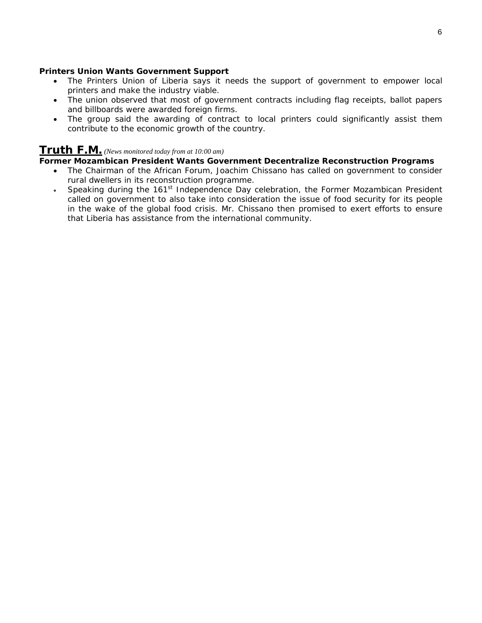#### **Printers Union Wants Government Support**

- The Printers Union of Liberia says it needs the support of government to empower local printers and make the industry viable.
- The union observed that most of government contracts including flag receipts, ballot papers and billboards were awarded foreign firms.
- The group said the awarding of contract to local printers could significantly assist them contribute to the economic growth of the country.

## **Truth F.M.** *(News monitored today from at 10:00 am)*

#### **Former Mozambican President Wants Government Decentralize Reconstruction Programs**

- The Chairman of the African Forum, Joachim Chissano has called on government to consider rural dwellers in its reconstruction programme.
- Speaking during the  $161<sup>st</sup>$  Independence Day celebration, the Former Mozambican President called on government to also take into consideration the issue of food security for its people in the wake of the global food crisis. Mr. Chissano then promised to exert efforts to ensure that Liberia has assistance from the international community.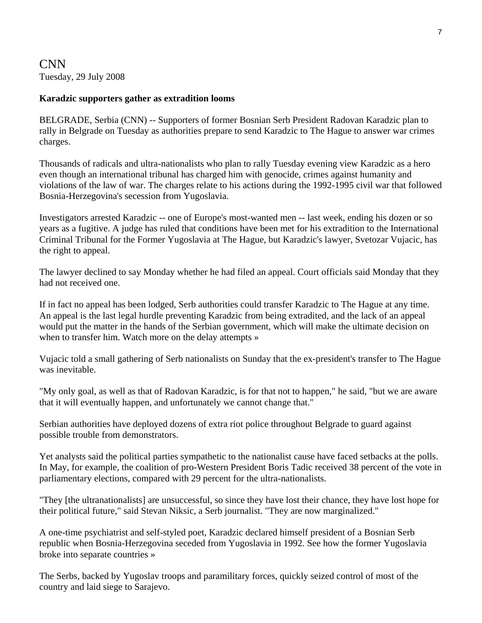## CNN Tuesday, 29 July 2008

### **Karadzic supporters gather as extradition looms**

BELGRADE, Serbia (CNN) -- Supporters of former Bosnian Serb President Radovan Karadzic plan to rally in Belgrade on Tuesday as authorities prepare to send Karadzic to The Hague to answer war crimes charges.

Thousands of radicals and ultra-nationalists who plan to rally Tuesday evening view Karadzic as a hero even though an international tribunal has charged him with genocide, crimes against humanity and violations of the law of war. The charges relate to his actions during the 1992-1995 civil war that followed Bosnia-Herzegovina's secession from Yugoslavia.

Investigators arrested Karadzic -- one of Europe's most-wanted men -- last week, ending his dozen or so years as a fugitive. A judge has ruled that conditions have been met for his extradition to the International Criminal Tribunal for the Former Yugoslavia at The Hague, but Karadzic's lawyer, Svetozar Vujacic, has the right to appeal.

The lawyer declined to say Monday whether he had filed an appeal. Court officials said Monday that they had not received one.

If in fact no appeal has been lodged, Serb authorities could transfer Karadzic to The Hague at any time. An appeal is the last legal hurdle preventing Karadzic from being extradited, and the lack of an appeal would put the matter in the hands of the Serbian government, which will make the ultimate decision on when to transfer him. Watch more on the delay attempts »

Vujacic told a small gathering of Serb nationalists on Sunday that the ex-president's transfer to The Hague was inevitable.

"My only goal, as well as that of Radovan Karadzic, is for that not to happen," he said, "but we are aware that it will eventually happen, and unfortunately we cannot change that."

Serbian authorities have deployed dozens of extra riot police throughout Belgrade to guard against possible trouble from demonstrators.

Yet analysts said the political parties sympathetic to the nationalist cause have faced setbacks at the polls. In May, for example, the coalition of pro-Western President Boris Tadic received 38 percent of the vote in parliamentary elections, compared with 29 percent for the ultra-nationalists.

"They [the ultranationalists] are unsuccessful, so since they have lost their chance, they have lost hope for their political future," said Stevan Niksic, a Serb journalist. "They are now marginalized."

A one-time psychiatrist and self-styled poet, Karadzic declared himself president of a Bosnian Serb republic when Bosnia-Herzegovina seceded from Yugoslavia in 1992. See how the former Yugoslavia broke into separate countries »

The Serbs, backed by Yugoslav troops and paramilitary forces, quickly seized control of most of the country and laid siege to Sarajevo.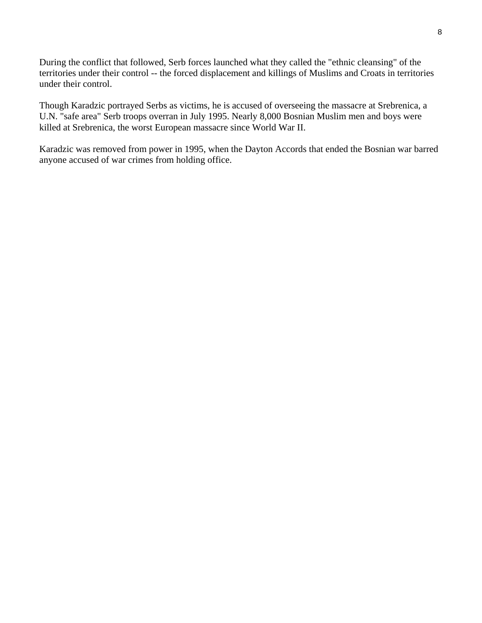During the conflict that followed, Serb forces launched what they called the "ethnic cleansing" of the territories under their control -- the forced displacement and killings of Muslims and Croats in territories under their control.

Though Karadzic portrayed Serbs as victims, he is accused of overseeing the massacre at Srebrenica, a U.N. "safe area" Serb troops overran in July 1995. Nearly 8,000 Bosnian Muslim men and boys were killed at Srebrenica, the worst European massacre since World War II.

Karadzic was removed from power in 1995, when the Dayton Accords that ended the Bosnian war barred anyone accused of war crimes from holding office.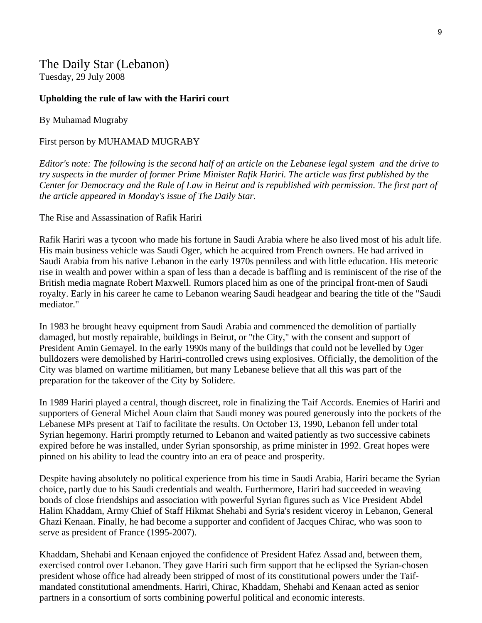The Daily Star (Lebanon) Tuesday, 29 July 2008

#### **Upholding the rule of law with the Hariri court**

By Muhamad Mugraby

First person by MUHAMAD MUGRABY

*Editor's note: The following is the second half of an article on the Lebanese legal system and the drive to try suspects in the murder of former Prime Minister Rafik Hariri. The article was first published by the Center for Democracy and the Rule of Law in Beirut and is republished with permission. The first part of the article appeared in Monday's issue of The Daily Star.* 

The Rise and Assassination of Rafik Hariri

Rafik Hariri was a tycoon who made his fortune in Saudi Arabia where he also lived most of his adult life. His main business vehicle was Saudi Oger, which he acquired from French owners. He had arrived in Saudi Arabia from his native Lebanon in the early 1970s penniless and with little education. His meteoric rise in wealth and power within a span of less than a decade is baffling and is reminiscent of the rise of the British media magnate Robert Maxwell. Rumors placed him as one of the principal front-men of Saudi royalty. Early in his career he came to Lebanon wearing Saudi headgear and bearing the title of the "Saudi mediator."

In 1983 he brought heavy equipment from Saudi Arabia and commenced the demolition of partially damaged, but mostly repairable, buildings in Beirut, or "the City," with the consent and support of President Amin Gemayel. In the early 1990s many of the buildings that could not be levelled by Oger bulldozers were demolished by Hariri-controlled crews using explosives. Officially, the demolition of the City was blamed on wartime militiamen, but many Lebanese believe that all this was part of the preparation for the takeover of the City by Solidere.

In 1989 Hariri played a central, though discreet, role in finalizing the Taif Accords. Enemies of Hariri and supporters of General Michel Aoun claim that Saudi money was poured generously into the pockets of the Lebanese MPs present at Taif to facilitate the results. On October 13, 1990, Lebanon fell under total Syrian hegemony. Hariri promptly returned to Lebanon and waited patiently as two successive cabinets expired before he was installed, under Syrian sponsorship, as prime minister in 1992. Great hopes were pinned on his ability to lead the country into an era of peace and prosperity.

Despite having absolutely no political experience from his time in Saudi Arabia, Hariri became the Syrian choice, partly due to his Saudi credentials and wealth. Furthermore, Hariri had succeeded in weaving bonds of close friendships and association with powerful Syrian figures such as Vice President Abdel Halim Khaddam, Army Chief of Staff Hikmat Shehabi and Syria's resident viceroy in Lebanon, General Ghazi Kenaan. Finally, he had become a supporter and confident of Jacques Chirac, who was soon to serve as president of France (1995-2007).

Khaddam, Shehabi and Kenaan enjoyed the confidence of President Hafez Assad and, between them, exercised control over Lebanon. They gave Hariri such firm support that he eclipsed the Syrian-chosen president whose office had already been stripped of most of its constitutional powers under the Taifmandated constitutional amendments. Hariri, Chirac, Khaddam, Shehabi and Kenaan acted as senior partners in a consortium of sorts combining powerful political and economic interests.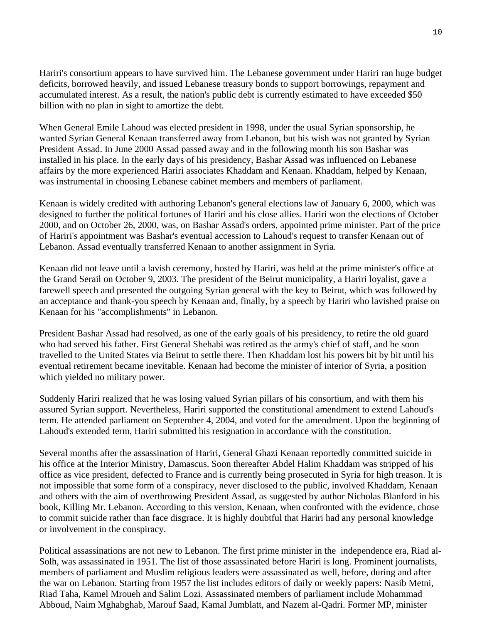Hariri's consortium appears to have survived him. The Lebanese government under Hariri ran huge budget deficits, borrowed heavily, and issued Lebanese treasury bonds to support borrowings, repayment and accumulated interest. As a result, the nation's public debt is currently estimated to have exceeded \$50 billion with no plan in sight to amortize the debt.

When General Emile Lahoud was elected president in 1998, under the usual Syrian sponsorship, he wanted Syrian General Kenaan transferred away from Lebanon, but his wish was not granted by Syrian President Assad. In June 2000 Assad passed away and in the following month his son Bashar was installed in his place. In the early days of his presidency, Bashar Assad was influenced on Lebanese affairs by the more experienced Hariri associates Khaddam and Kenaan. Khaddam, helped by Kenaan, was instrumental in choosing Lebanese cabinet members and members of parliament.

Kenaan is widely credited with authoring Lebanon's general elections law of January 6, 2000, which was designed to further the political fortunes of Hariri and his close allies. Hariri won the elections of October 2000, and on October 26, 2000, was, on Bashar Assad's orders, appointed prime minister. Part of the price of Hariri's appointment was Bashar's eventual accession to Lahoud's request to transfer Kenaan out of Lebanon. Assad eventually transferred Kenaan to another assignment in Syria.

Kenaan did not leave until a lavish ceremony, hosted by Hariri, was held at the prime minister's office at the Grand Serail on October 9, 2003. The president of the Beirut municipality, a Hariri loyalist, gave a farewell speech and presented the outgoing Syrian general with the key to Beirut, which was followed by an acceptance and thank-you speech by Kenaan and, finally, by a speech by Hariri who lavished praise on Kenaan for his "accomplishments" in Lebanon.

President Bashar Assad had resolved, as one of the early goals of his presidency, to retire the old guard who had served his father. First General Shehabi was retired as the army's chief of staff, and he soon travelled to the United States via Beirut to settle there. Then Khaddam lost his powers bit by bit until his eventual retirement became inevitable. Kenaan had become the minister of interior of Syria, a position which yielded no military power.

Suddenly Hariri realized that he was losing valued Syrian pillars of his consortium, and with them his assured Syrian support. Nevertheless, Hariri supported the constitutional amendment to extend Lahoud's term. He attended parliament on September 4, 2004, and voted for the amendment. Upon the beginning of Lahoud's extended term, Hariri submitted his resignation in accordance with the constitution.

Several months after the assassination of Hariri, General Ghazi Kenaan reportedly committed suicide in his office at the Interior Ministry, Damascus. Soon thereafter Abdel Halim Khaddam was stripped of his office as vice president, defected to France and is currently being prosecuted in Syria for high treason. It is not impossible that some form of a conspiracy, never disclosed to the public, involved Khaddam, Kenaan and others with the aim of overthrowing President Assad, as suggested by author Nicholas Blanford in his book, Killing Mr. Lebanon. According to this version, Kenaan, when confronted with the evidence, chose to commit suicide rather than face disgrace. It is highly doubtful that Hariri had any personal knowledge or involvement in the conspiracy.

Political assassinations are not new to Lebanon. The first prime minister in the independence era, Riad al-Solh, was assassinated in 1951. The list of those assassinated before Hariri is long. Prominent journalists, members of parliament and Muslim religious leaders were assassinated as well, before, during and after the war on Lebanon. Starting from 1957 the list includes editors of daily or weekly papers: Nasib Metni, Riad Taha, Kamel Mroueh and Salim Lozi. Assassinated members of parliament include Mohammad Abboud, Naim Mghabghab, Marouf Saad, Kamal Jumblatt, and Nazem al-Qadri. Former MP, minister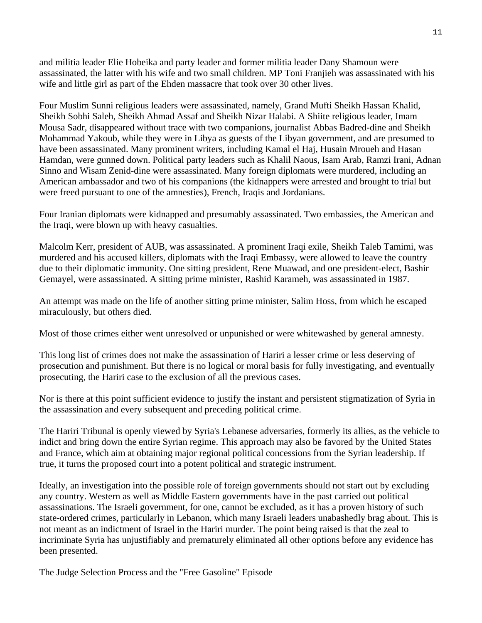and militia leader Elie Hobeika and party leader and former militia leader Dany Shamoun were assassinated, the latter with his wife and two small children. MP Toni Franjieh was assassinated with his wife and little girl as part of the Ehden massacre that took over 30 other lives.

Four Muslim Sunni religious leaders were assassinated, namely, Grand Mufti Sheikh Hassan Khalid, Sheikh Sobhi Saleh, Sheikh Ahmad Assaf and Sheikh Nizar Halabi. A Shiite religious leader, Imam Mousa Sadr, disappeared without trace with two companions, journalist Abbas Badred-dine and Sheikh Mohammad Yakoub, while they were in Libya as guests of the Libyan government, and are presumed to have been assassinated. Many prominent writers, including Kamal el Haj, Husain Mroueh and Hasan Hamdan, were gunned down. Political party leaders such as Khalil Naous, Isam Arab, Ramzi Irani, Adnan Sinno and Wisam Zenid-dine were assassinated. Many foreign diplomats were murdered, including an American ambassador and two of his companions (the kidnappers were arrested and brought to trial but were freed pursuant to one of the amnesties), French, Iraqis and Jordanians.

Four Iranian diplomats were kidnapped and presumably assassinated. Two embassies, the American and the Iraqi, were blown up with heavy casualties.

Malcolm Kerr, president of AUB, was assassinated. A prominent Iraqi exile, Sheikh Taleb Tamimi, was murdered and his accused killers, diplomats with the Iraqi Embassy, were allowed to leave the country due to their diplomatic immunity. One sitting president, Rene Muawad, and one president-elect, Bashir Gemayel, were assassinated. A sitting prime minister, Rashid Karameh, was assassinated in 1987.

An attempt was made on the life of another sitting prime minister, Salim Hoss, from which he escaped miraculously, but others died.

Most of those crimes either went unresolved or unpunished or were whitewashed by general amnesty.

This long list of crimes does not make the assassination of Hariri a lesser crime or less deserving of prosecution and punishment. But there is no logical or moral basis for fully investigating, and eventually prosecuting, the Hariri case to the exclusion of all the previous cases.

Nor is there at this point sufficient evidence to justify the instant and persistent stigmatization of Syria in the assassination and every subsequent and preceding political crime.

The Hariri Tribunal is openly viewed by Syria's Lebanese adversaries, formerly its allies, as the vehicle to indict and bring down the entire Syrian regime. This approach may also be favored by the United States and France, which aim at obtaining major regional political concessions from the Syrian leadership. If true, it turns the proposed court into a potent political and strategic instrument.

Ideally, an investigation into the possible role of foreign governments should not start out by excluding any country. Western as well as Middle Eastern governments have in the past carried out political assassinations. The Israeli government, for one, cannot be excluded, as it has a proven history of such state-ordered crimes, particularly in Lebanon, which many Israeli leaders unabashedly brag about. This is not meant as an indictment of Israel in the Hariri murder. The point being raised is that the zeal to incriminate Syria has unjustifiably and prematurely eliminated all other options before any evidence has been presented.

The Judge Selection Process and the "Free Gasoline" Episode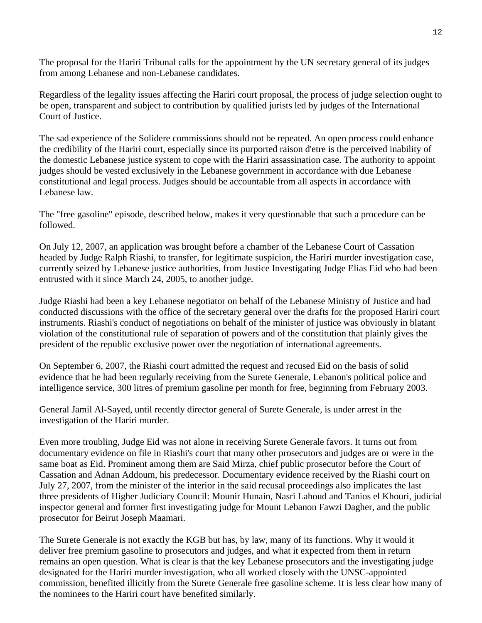The proposal for the Hariri Tribunal calls for the appointment by the UN secretary general of its judges from among Lebanese and non-Lebanese candidates.

Regardless of the legality issues affecting the Hariri court proposal, the process of judge selection ought to be open, transparent and subject to contribution by qualified jurists led by judges of the International Court of Justice.

The sad experience of the Solidere commissions should not be repeated. An open process could enhance the credibility of the Hariri court, especially since its purported raison d'etre is the perceived inability of the domestic Lebanese justice system to cope with the Hariri assassination case. The authority to appoint judges should be vested exclusively in the Lebanese government in accordance with due Lebanese constitutional and legal process. Judges should be accountable from all aspects in accordance with Lebanese law.

The "free gasoline" episode, described below, makes it very questionable that such a procedure can be followed.

On July 12, 2007, an application was brought before a chamber of the Lebanese Court of Cassation headed by Judge Ralph Riashi, to transfer, for legitimate suspicion, the Hariri murder investigation case, currently seized by Lebanese justice authorities, from Justice Investigating Judge Elias Eid who had been entrusted with it since March 24, 2005, to another judge.

Judge Riashi had been a key Lebanese negotiator on behalf of the Lebanese Ministry of Justice and had conducted discussions with the office of the secretary general over the drafts for the proposed Hariri court instruments. Riashi's conduct of negotiations on behalf of the minister of justice was obviously in blatant violation of the constitutional rule of separation of powers and of the constitution that plainly gives the president of the republic exclusive power over the negotiation of international agreements.

On September 6, 2007, the Riashi court admitted the request and recused Eid on the basis of solid evidence that he had been regularly receiving from the Surete Generale, Lebanon's political police and intelligence service, 300 litres of premium gasoline per month for free, beginning from February 2003.

General Jamil Al-Sayed, until recently director general of Surete Generale, is under arrest in the investigation of the Hariri murder.

Even more troubling, Judge Eid was not alone in receiving Surete Generale favors. It turns out from documentary evidence on file in Riashi's court that many other prosecutors and judges are or were in the same boat as Eid. Prominent among them are Said Mirza, chief public prosecutor before the Court of Cassation and Adnan Addoum, his predecessor. Documentary evidence received by the Riashi court on July 27, 2007, from the minister of the interior in the said recusal proceedings also implicates the last three presidents of Higher Judiciary Council: Mounir Hunain, Nasri Lahoud and Tanios el Khouri, judicial inspector general and former first investigating judge for Mount Lebanon Fawzi Dagher, and the public prosecutor for Beirut Joseph Maamari.

The Surete Generale is not exactly the KGB but has, by law, many of its functions. Why it would it deliver free premium gasoline to prosecutors and judges, and what it expected from them in return remains an open question. What is clear is that the key Lebanese prosecutors and the investigating judge designated for the Hariri murder investigation, who all worked closely with the UNSC-appointed commission, benefited illicitly from the Surete Generale free gasoline scheme. It is less clear how many of the nominees to the Hariri court have benefited similarly.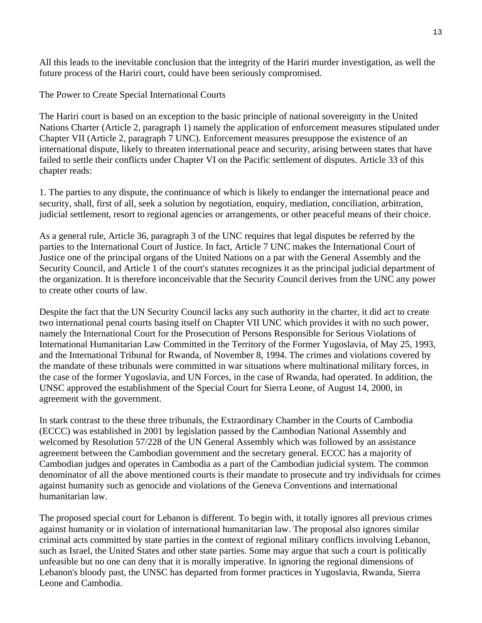All this leads to the inevitable conclusion that the integrity of the Hariri murder investigation, as well the future process of the Hariri court, could have been seriously compromised.

The Power to Create Special International Courts

The Hariri court is based on an exception to the basic principle of national sovereignty in the United Nations Charter (Article 2, paragraph 1) namely the application of enforcement measures stipulated under Chapter VII (Article 2, paragraph 7 UNC). Enforcement measures presuppose the existence of an international dispute, likely to threaten international peace and security, arising between states that have failed to settle their conflicts under Chapter VI on the Pacific settlement of disputes. Article 33 of this chapter reads:

1. The parties to any dispute, the continuance of which is likely to endanger the international peace and security, shall, first of all, seek a solution by negotiation, enquiry, mediation, conciliation, arbitration, judicial settlement, resort to regional agencies or arrangements, or other peaceful means of their choice.

As a general rule, Article 36, paragraph 3 of the UNC requires that legal disputes be referred by the parties to the International Court of Justice. In fact, Article 7 UNC makes the International Court of Justice one of the principal organs of the United Nations on a par with the General Assembly and the Security Council, and Article 1 of the court's statutes recognizes it as the principal judicial department of the organization. It is therefore inconceivable that the Security Council derives from the UNC any power to create other courts of law.

Despite the fact that the UN Security Council lacks any such authority in the charter, it did act to create two international penal courts basing itself on Chapter VII UNC which provides it with no such power, namely the International Court for the Prosecution of Persons Responsible for Serious Violations of International Humanitarian Law Committed in the Territory of the Former Yugoslavia, of May 25, 1993, and the International Tribunal for Rwanda, of November 8, 1994. The crimes and violations covered by the mandate of these tribunals were committed in war situations where multinational military forces, in the case of the former Yugoslavia, and UN Forces, in the case of Rwanda, had operated. In addition, the UNSC approved the establishment of the Special Court for Sierra Leone, of August 14, 2000, in agreement with the government.

In stark contrast to the these three tribunals, the Extraordinary Chamber in the Courts of Cambodia (ECCC) was established in 2001 by legislation passed by the Cambodian National Assembly and welcomed by Resolution 57/228 of the UN General Assembly which was followed by an assistance agreement between the Cambodian government and the secretary general. ECCC has a majority of Cambodian judges and operates in Cambodia as a part of the Cambodian judicial system. The common denominator of all the above mentioned courts is their mandate to prosecute and try individuals for crimes against humanity such as genocide and violations of the Geneva Conventions and international humanitarian law.

The proposed special court for Lebanon is different. To begin with, it totally ignores all previous crimes against humanity or in violation of international humanitarian law. The proposal also ignores similar criminal acts committed by state parties in the context of regional military conflicts involving Lebanon, such as Israel, the United States and other state parties. Some may argue that such a court is politically unfeasible but no one can deny that it is morally imperative. In ignoring the regional dimensions of Lebanon's bloody past, the UNSC has departed from former practices in Yugoslavia, Rwanda, Sierra Leone and Cambodia.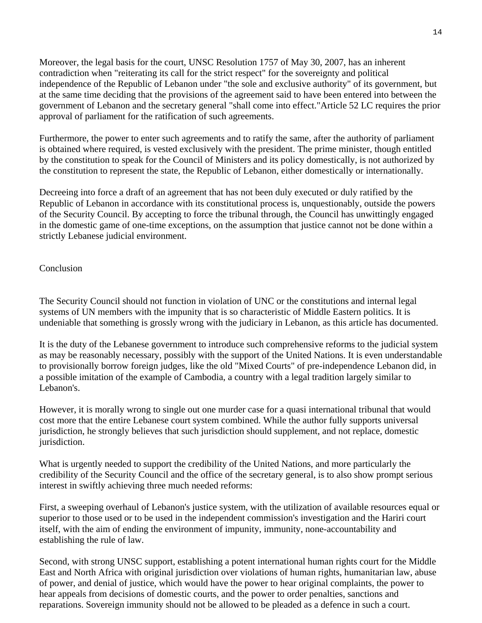Moreover, the legal basis for the court, UNSC Resolution 1757 of May 30, 2007, has an inherent contradiction when "reiterating its call for the strict respect" for the sovereignty and political independence of the Republic of Lebanon under "the sole and exclusive authority" of its government, but at the same time deciding that the provisions of the agreement said to have been entered into between the government of Lebanon and the secretary general "shall come into effect."Article 52 LC requires the prior approval of parliament for the ratification of such agreements.

Furthermore, the power to enter such agreements and to ratify the same, after the authority of parliament is obtained where required, is vested exclusively with the president. The prime minister, though entitled by the constitution to speak for the Council of Ministers and its policy domestically, is not authorized by the constitution to represent the state, the Republic of Lebanon, either domestically or internationally.

Decreeing into force a draft of an agreement that has not been duly executed or duly ratified by the Republic of Lebanon in accordance with its constitutional process is, unquestionably, outside the powers of the Security Council. By accepting to force the tribunal through, the Council has unwittingly engaged in the domestic game of one-time exceptions, on the assumption that justice cannot not be done within a strictly Lebanese judicial environment.

#### Conclusion

The Security Council should not function in violation of UNC or the constitutions and internal legal systems of UN members with the impunity that is so characteristic of Middle Eastern politics. It is undeniable that something is grossly wrong with the judiciary in Lebanon, as this article has documented.

It is the duty of the Lebanese government to introduce such comprehensive reforms to the judicial system as may be reasonably necessary, possibly with the support of the United Nations. It is even understandable to provisionally borrow foreign judges, like the old "Mixed Courts" of pre-independence Lebanon did, in a possible imitation of the example of Cambodia, a country with a legal tradition largely similar to Lebanon's.

However, it is morally wrong to single out one murder case for a quasi international tribunal that would cost more that the entire Lebanese court system combined. While the author fully supports universal jurisdiction, he strongly believes that such jurisdiction should supplement, and not replace, domestic jurisdiction.

What is urgently needed to support the credibility of the United Nations, and more particularly the credibility of the Security Council and the office of the secretary general, is to also show prompt serious interest in swiftly achieving three much needed reforms:

First, a sweeping overhaul of Lebanon's justice system, with the utilization of available resources equal or superior to those used or to be used in the independent commission's investigation and the Hariri court itself, with the aim of ending the environment of impunity, immunity, none-accountability and establishing the rule of law.

Second, with strong UNSC support, establishing a potent international human rights court for the Middle East and North Africa with original jurisdiction over violations of human rights, humanitarian law, abuse of power, and denial of justice, which would have the power to hear original complaints, the power to hear appeals from decisions of domestic courts, and the power to order penalties, sanctions and reparations. Sovereign immunity should not be allowed to be pleaded as a defence in such a court.